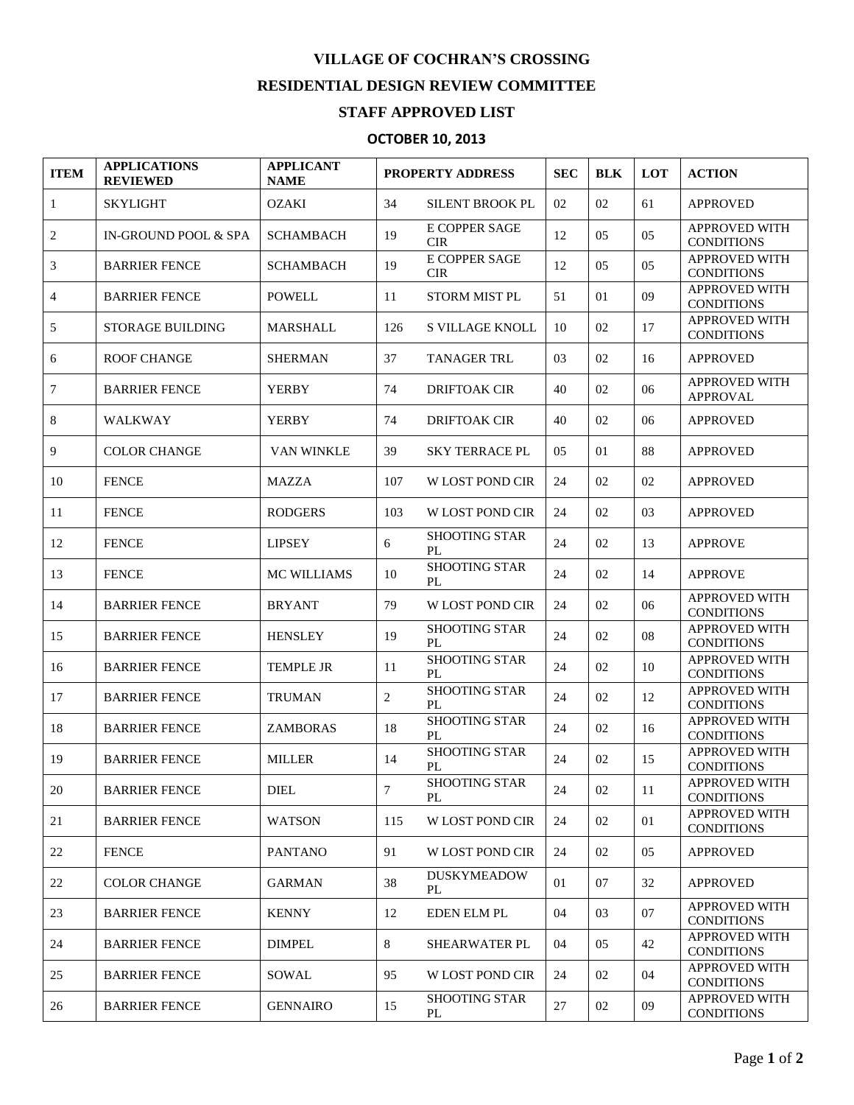## **VILLAGE OF COCHRAN'S CROSSING RESIDENTIAL DESIGN REVIEW COMMITTEE**

## **STAFF APPROVED LIST**

## **OCTOBER 10, 2013**

| <b>ITEM</b>    | <b>APPLICATIONS</b><br><b>REVIEWED</b> | <b>APPLICANT</b><br><b>NAME</b> | <b>PROPERTY ADDRESS</b> |                             | <b>SEC</b> | <b>BLK</b> | <b>LOT</b> | <b>ACTION</b>                             |
|----------------|----------------------------------------|---------------------------------|-------------------------|-----------------------------|------------|------------|------------|-------------------------------------------|
| 1              | <b>SKYLIGHT</b>                        | <b>OZAKI</b>                    | 34                      | <b>SILENT BROOK PL</b>      | 02         | 02         | 61         | <b>APPROVED</b>                           |
| $\overline{c}$ | IN-GROUND POOL & SPA                   | <b>SCHAMBACH</b>                | 19                      | E COPPER SAGE<br><b>CIR</b> | 12         | 05         | 05         | <b>APPROVED WITH</b><br><b>CONDITIONS</b> |
| 3              | <b>BARRIER FENCE</b>                   | <b>SCHAMBACH</b>                | 19                      | E COPPER SAGE<br><b>CIR</b> | 12         | 05         | 05         | <b>APPROVED WITH</b><br><b>CONDITIONS</b> |
| 4              | <b>BARRIER FENCE</b>                   | POWELL                          | 11                      | <b>STORM MIST PL</b>        | 51         | 01         | 09         | <b>APPROVED WITH</b><br><b>CONDITIONS</b> |
| 5              | <b>STORAGE BUILDING</b>                | <b>MARSHALL</b>                 | 126                     | <b>S VILLAGE KNOLL</b>      | 10         | 02         | 17         | <b>APPROVED WITH</b><br><b>CONDITIONS</b> |
| 6              | <b>ROOF CHANGE</b>                     | <b>SHERMAN</b>                  | 37                      | <b>TANAGER TRL</b>          | 03         | 02         | 16         | <b>APPROVED</b>                           |
| 7              | <b>BARRIER FENCE</b>                   | <b>YERBY</b>                    | 74                      | <b>DRIFTOAK CIR</b>         | 40         | 02         | 06         | <b>APPROVED WITH</b><br><b>APPROVAL</b>   |
| 8              | <b>WALKWAY</b>                         | <b>YERBY</b>                    | 74                      | <b>DRIFTOAK CIR</b>         | 40         | 02         | 06         | <b>APPROVED</b>                           |
| 9              | <b>COLOR CHANGE</b>                    | VAN WINKLE                      | 39                      | <b>SKY TERRACE PL</b>       | 05         | 01         | 88         | <b>APPROVED</b>                           |
| 10             | <b>FENCE</b>                           | <b>MAZZA</b>                    | 107                     | <b>W LOST POND CIR</b>      | 24         | 02         | 02         | <b>APPROVED</b>                           |
| 11             | <b>FENCE</b>                           | <b>RODGERS</b>                  | 103                     | <b>W LOST POND CIR</b>      | 24         | 02         | 03         | <b>APPROVED</b>                           |
| 12             | <b>FENCE</b>                           | <b>LIPSEY</b>                   | 6                       | <b>SHOOTING STAR</b><br>PL  | 24         | 02         | 13         | <b>APPROVE</b>                            |
| 13             | <b>FENCE</b>                           | <b>MC WILLIAMS</b>              | 10                      | <b>SHOOTING STAR</b><br>PL  | 24         | 02         | 14         | <b>APPROVE</b>                            |
| 14             | <b>BARRIER FENCE</b>                   | <b>BRYANT</b>                   | 79                      | W LOST POND CIR             | 24         | 02         | 06         | <b>APPROVED WITH</b><br><b>CONDITIONS</b> |
| 15             | <b>BARRIER FENCE</b>                   | <b>HENSLEY</b>                  | 19                      | <b>SHOOTING STAR</b><br>PL  | 24         | 02         | 08         | <b>APPROVED WITH</b><br><b>CONDITIONS</b> |
| 16             | <b>BARRIER FENCE</b>                   | <b>TEMPLE JR</b>                | 11                      | <b>SHOOTING STAR</b><br>PL  | 24         | 02         | 10         | <b>APPROVED WITH</b><br><b>CONDITIONS</b> |
| 17             | <b>BARRIER FENCE</b>                   | <b>TRUMAN</b>                   | 2                       | <b>SHOOTING STAR</b><br>PL  | 24         | 02         | 12         | <b>APPROVED WITH</b><br><b>CONDITIONS</b> |
| 18             | <b>BARRIER FENCE</b>                   | <b>ZAMBORAS</b>                 | 18                      | <b>SHOOTING STAR</b><br>PL  | 24         | 02         | 16         | <b>APPROVED WITH</b><br><b>CONDITIONS</b> |
| 19             | <b>BARRIER FENCE</b>                   | <b>MILLER</b>                   | 14                      | <b>SHOOTING STAR</b><br>PL  | 24         | 02         | 15         | <b>APPROVED WITH</b><br><b>CONDITIONS</b> |
| 20             | <b>BARRIER FENCE</b>                   | <b>DIEL</b>                     | 7                       | SHOOTING STAR<br>PL         | 24         | 02         | 11         | APPROVED WITH<br><b>CONDITIONS</b>        |
| 21             | <b>BARRIER FENCE</b>                   | <b>WATSON</b>                   | 115                     | <b>W LOST POND CIR</b>      | 24         | 02         | 01         | <b>APPROVED WITH</b><br><b>CONDITIONS</b> |
| 22             | <b>FENCE</b>                           | <b>PANTANO</b>                  | 91                      | <b>W LOST POND CIR</b>      | 24         | 02         | 05         | <b>APPROVED</b>                           |
| 22             | <b>COLOR CHANGE</b>                    | <b>GARMAN</b>                   | 38                      | <b>DUSKYMEADOW</b><br>PL    | 01         | 07         | 32         | <b>APPROVED</b>                           |
| 23             | <b>BARRIER FENCE</b>                   | <b>KENNY</b>                    | 12                      | <b>EDEN ELM PL</b>          | 04         | 03         | 07         | <b>APPROVED WITH</b><br><b>CONDITIONS</b> |
| 24             | <b>BARRIER FENCE</b>                   | <b>DIMPEL</b>                   | 8                       | SHEARWATER PL               | 04         | 05         | 42         | APPROVED WITH<br><b>CONDITIONS</b>        |
| 25             | <b>BARRIER FENCE</b>                   | SOWAL                           | 95                      | <b>W LOST POND CIR</b>      | 24         | 02         | 04         | <b>APPROVED WITH</b><br><b>CONDITIONS</b> |
| 26             | <b>BARRIER FENCE</b>                   | <b>GENNAIRO</b>                 | 15                      | <b>SHOOTING STAR</b><br>PL  | 27         | 02         | 09         | <b>APPROVED WITH</b><br><b>CONDITIONS</b> |